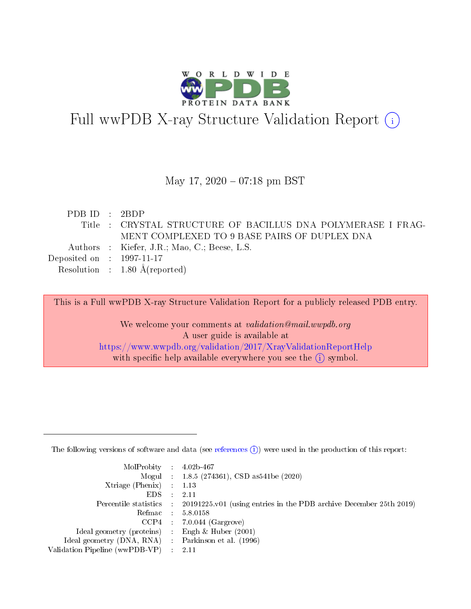

# Full wwPDB X-ray Structure Validation Report (i)

#### May 17,  $2020 - 07:18$  pm BST

| PDB ID : $2BDP$                      |                                                              |
|--------------------------------------|--------------------------------------------------------------|
|                                      | Title : CRYSTAL STRUCTURE OF BACILLUS DNA POLYMERASE I FRAG- |
|                                      | MENT COMPLEXED TO 9 BASE PAIRS OF DUPLEX DNA                 |
|                                      | Authors : Kiefer, J.R.; Mao, C.; Beese, L.S.                 |
| Deposited on $\therefore$ 1997-11-17 |                                                              |
|                                      | Resolution : $1.80 \text{ Å}$ (reported)                     |

This is a Full wwPDB X-ray Structure Validation Report for a publicly released PDB entry.

We welcome your comments at validation@mail.wwpdb.org A user guide is available at <https://www.wwpdb.org/validation/2017/XrayValidationReportHelp> with specific help available everywhere you see the  $(i)$  symbol.

The following versions of software and data (see [references](https://www.wwpdb.org/validation/2017/XrayValidationReportHelp#references)  $(1)$ ) were used in the production of this report:

| $MolProbability$ : 4.02b-467                      |                              |                                                                                            |
|---------------------------------------------------|------------------------------|--------------------------------------------------------------------------------------------|
|                                                   |                              | Mogul : 1.8.5 (274361), CSD as 541be (2020)                                                |
| Xtriage (Phenix) $: 1.13$                         |                              |                                                                                            |
| EDS –                                             | $\sim$                       | -2.11                                                                                      |
|                                                   |                              | Percentile statistics : 20191225.v01 (using entries in the PDB archive December 25th 2019) |
| Refmac : 5.8.0158                                 |                              |                                                                                            |
| CCP4                                              |                              | $7.0.044$ (Gargrove)                                                                       |
| Ideal geometry (proteins)                         | $\mathcal{L}_{\mathrm{eff}}$ | Engh & Huber $(2001)$                                                                      |
| Ideal geometry (DNA, RNA) Parkinson et al. (1996) |                              |                                                                                            |
| Validation Pipeline (wwPDB-VP) : 2.11             |                              |                                                                                            |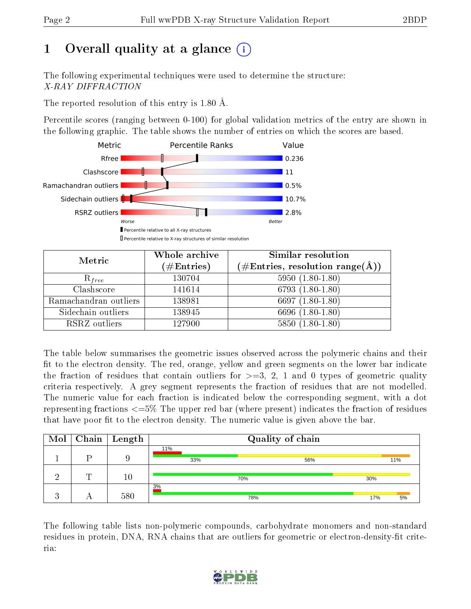# 1 [O](https://www.wwpdb.org/validation/2017/XrayValidationReportHelp#overall_quality)verall quality at a glance  $(i)$

The following experimental techniques were used to determine the structure: X-RAY DIFFRACTION

The reported resolution of this entry is 1.80 Å.

Percentile scores (ranging between 0-100) for global validation metrics of the entry are shown in the following graphic. The table shows the number of entries on which the scores are based.



| Metric                | Whole archive        | Similar resolution                                                     |
|-----------------------|----------------------|------------------------------------------------------------------------|
|                       | $(\#\text{Entries})$ | $(\#\text{Entries},\,\text{resolution}\,\,\text{range}(\textup{\AA}))$ |
| $R_{free}$            | 130704               | $5950(1.80-1.80)$                                                      |
| Clashscore            | 141614               | $6793(1.80-1.80)$                                                      |
| Ramachandran outliers | 138981               | 6697 $(1.80-1.80)$                                                     |
| Sidechain outliers    | 138945               | 6696 (1.80-1.80)                                                       |
| RSRZ outliers         | 127900               | $5850(1.80-1.80)$                                                      |

The table below summarises the geometric issues observed across the polymeric chains and their fit to the electron density. The red, orange, yellow and green segments on the lower bar indicate the fraction of residues that contain outliers for  $\geq=3$ , 2, 1 and 0 types of geometric quality criteria respectively. A grey segment represents the fraction of residues that are not modelled. The numeric value for each fraction is indicated below the corresponding segment, with a dot representing fractions <=5% The upper red bar (where present) indicates the fraction of residues that have poor fit to the electron density. The numeric value is given above the bar.

| Mol |   | $\sqrt{\text{Chain}}$ Length | Quality of chain |     |     |     |  |  |
|-----|---|------------------------------|------------------|-----|-----|-----|--|--|
|     |   |                              | 11%<br>33%       | 56% |     | 11% |  |  |
|     | ┯ | $10\,$                       |                  | 70% | 30% |     |  |  |
|     |   | 580                          | 3%               | 78% | 17% | 5%  |  |  |

The following table lists non-polymeric compounds, carbohydrate monomers and non-standard residues in protein, DNA, RNA chains that are outliers for geometric or electron-density-fit criteria:

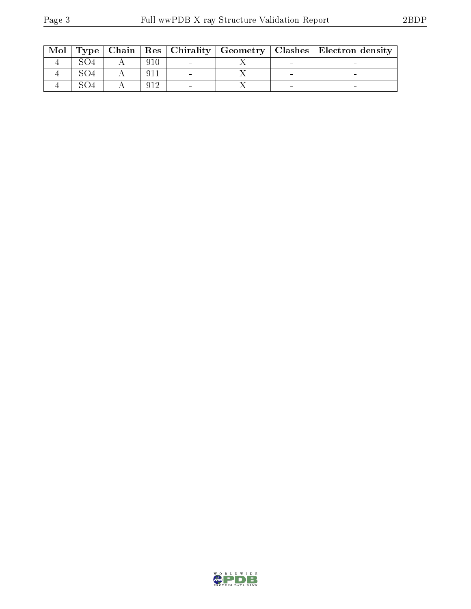| Mol |  |  |  | Type   Chain   Res   Chirality   Geometry   Clashes   Electron density |
|-----|--|--|--|------------------------------------------------------------------------|
|     |  |  |  |                                                                        |
|     |  |  |  |                                                                        |
|     |  |  |  |                                                                        |

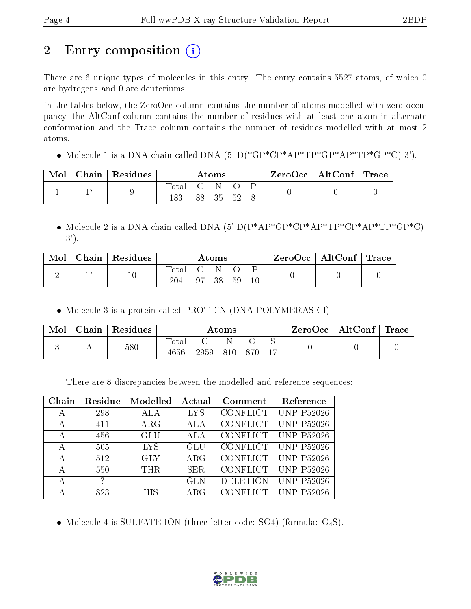# 2 Entry composition  $\binom{1}{1}$

There are 6 unique types of molecules in this entry. The entry contains 5527 atoms, of which 0 are hydrogens and 0 are deuteriums.

In the tables below, the ZeroOcc column contains the number of atoms modelled with zero occupancy, the AltConf column contains the number of residues with at least one atom in alternate conformation and the Trace column contains the number of residues modelled with at most 2 atoms.

• Molecule 1 is a DNA chain called DNA  $(5)-D(*GP*CP*AP*TP*GP*AP*TP*GP*CP*CP).$ 

| Mol | Chain   Residues | Atoms        |  |       | $\text{ZeroOcc} \mid \text{AltConf} \mid \text{Trace}$ |  |  |  |
|-----|------------------|--------------|--|-------|--------------------------------------------------------|--|--|--|
|     |                  | Total<br>183 |  | 88 35 | - 52                                                   |  |  |  |

 Molecule 2 is a DNA chain called DNA (5'-D(P\*AP\*GP\*CP\*AP\*TP\*CP\*AP\*TP\*GP\*C)- 3').

| Mol | Chain   Residues | Atoms              |  |       | $\text{ZeroOcc}$   AltConf   Trace |  |  |  |
|-----|------------------|--------------------|--|-------|------------------------------------|--|--|--|
|     |                  | $\rm Total$<br>204 |  | 97 38 | -59                                |  |  |  |

• Molecule 3 is a protein called PROTEIN (DNA POLYMERASE I).

| Mol | Chain | Residues | $\rm{Atoms}$        |      |     |     | ZeroOcc | $\mid$ AltConf $\mid$ Trace $\mid$ |  |  |
|-----|-------|----------|---------------------|------|-----|-----|---------|------------------------------------|--|--|
|     |       | 580      | $\rm Total$<br>4656 | 2959 | 810 | 870 |         |                                    |  |  |

There are 8 discrepancies between the modelled and reference sequences:

| Chain | Residue       | Modelled   | Actual     | Comment         | Reference              |
|-------|---------------|------------|------------|-----------------|------------------------|
| А     | 298           | ALA        | <b>LYS</b> | <b>CONFLICT</b> | <b>UNP P52026</b>      |
| А     | 411           | $\rm{ARG}$ | <b>ALA</b> | CONFLICT        | <b>UNP P52026</b>      |
| А     | 456           | GLU        | <b>ALA</b> | <b>CONFLICT</b> | <b>UNP P52026</b>      |
| А     | 505           | <b>LYS</b> | GLU        | <b>CONFLICT</b> | <b>UNP P52026</b>      |
| А     | 512           | <b>GLY</b> | $\rm{ARG}$ | <b>CONFLICT</b> | $\overline{UNP}P52026$ |
| А     | 550           | THR.       | <b>SER</b> | <b>CONFLICT</b> | <b>UNP P52026</b>      |
| А     | $\mathcal{P}$ |            | <b>GLN</b> | <b>DELETION</b> | <b>UNP P52026</b>      |
| А     | 823           | HIS        | $\rm{ARG}$ | CONFLICT        | <b>UNP P52026</b>      |

• Molecule 4 is SULFATE ION (three-letter code: SO4) (formula:  $O_4S$ ).

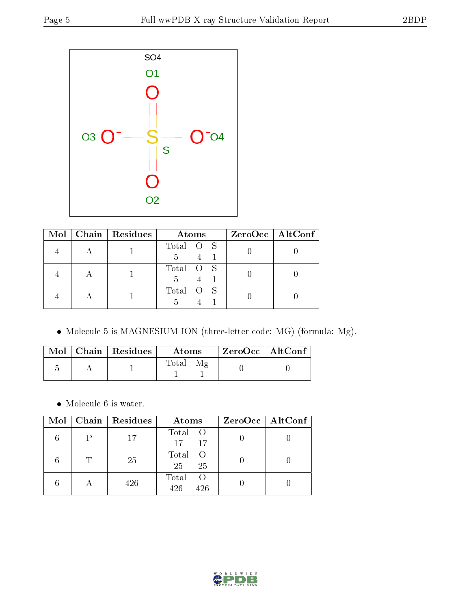

|  | Mol   Chain   Residues | Atoms          | $ZeroOcc$   AltConf |
|--|------------------------|----------------|---------------------|
|  |                        | Total O S      |                     |
|  |                        | Total O S<br>5 |                     |
|  |                        | Total O S      |                     |

Molecule 5 is MAGNESIUM ION (three-letter code: MG) (formula: Mg).

|  | Mol   Chain   Residues | Atoms | † ZeroOcc∣AltConf∣ |  |
|--|------------------------|-------|--------------------|--|
|  |                        | Total |                    |  |

 $\bullet\,$  Molecule 6 is water.

| Mol |                           | $\mid$ Chain $\mid$ Residues | Atoms                          | $ZeroOcc \mid AltConf \mid$ |
|-----|---------------------------|------------------------------|--------------------------------|-----------------------------|
|     |                           | 17                           | Total O<br>17<br>17            |                             |
|     |                           | 25                           | Total<br>$\circ$ O<br>25<br>25 |                             |
|     | $\boldsymbol{\mathsf{H}}$ | 426                          | Total<br>426<br>426            |                             |

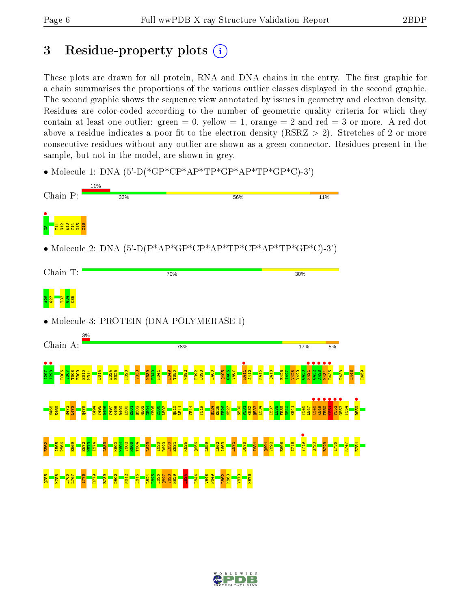## 3 Residue-property plots  $(i)$

These plots are drawn for all protein, RNA and DNA chains in the entry. The first graphic for a chain summarises the proportions of the various outlier classes displayed in the second graphic. The second graphic shows the sequence view annotated by issues in geometry and electron density. Residues are color-coded according to the number of geometric quality criteria for which they contain at least one outlier: green  $= 0$ , yellow  $= 1$ , orange  $= 2$  and red  $= 3$  or more. A red dot above a residue indicates a poor fit to the electron density (RSRZ  $> 2$ ). Stretches of 2 or more consecutive residues without any outlier are shown as a green connector. Residues present in the sample, but not in the model, are shown in grey.

• Molecule 1: DNA  $(5)-D$ <sup>\*</sup>GP<sup>\*</sup>CP<sup>\*</sup>AP<sup>\*</sup>TP<sup>\*</sup>GP<sup>\*</sup>AP<sup>\*</sup>TP<sup>\*</sup>GP<sup>\*</sup>CP<sup>2</sup>)



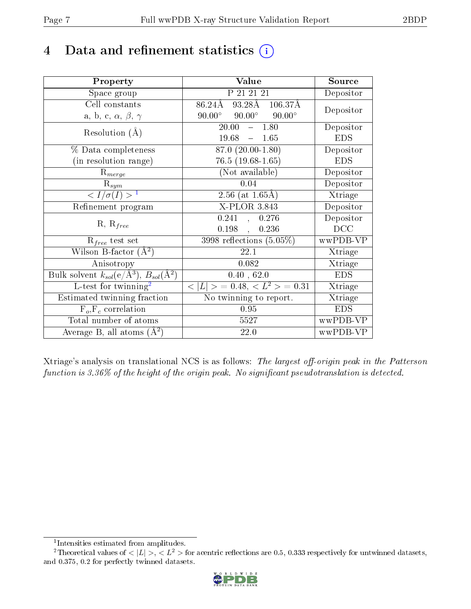# 4 Data and refinement statistics  $(i)$

| Property                                                                | Value                                            | Source     |
|-------------------------------------------------------------------------|--------------------------------------------------|------------|
| Space group                                                             | P 21 21 21                                       | Depositor  |
| Cell constants                                                          | 93.28Å 106.37Å<br>86.24Å                         | Depositor  |
| a, b, c, $\alpha$ , $\beta$ , $\gamma$                                  | $90.00^{\circ}$ $90.00^{\circ}$<br>$90.00^\circ$ |            |
| Resolution $(A)$                                                        | $-1.80$<br>20.00                                 | Depositor  |
|                                                                         | 19.68<br>1.65<br>$\frac{1}{2}$                   | <b>EDS</b> |
| % Data completeness                                                     | 87.0 (20.00-1.80)                                | Depositor  |
| (in resolution range)                                                   | $76.5(19.68-1.65)$                               | <b>EDS</b> |
| $R_{merge}$                                                             | (Not available)                                  | Depositor  |
| $\mathrm{R}_{sym}$                                                      | 0.04                                             | Depositor  |
| $\langle I/\sigma(I) \rangle^{-1}$                                      | 2.56 (at $1.65\text{\AA}$ )                      | Xtriage    |
| Refinement program                                                      | X-PLOR 3.843                                     | Depositor  |
| $R, R_{free}$                                                           | 0.241<br>0.276<br>$\mathcal{A}^{\pm}$            | Depositor  |
|                                                                         | 0.198,<br>0.236                                  | DCC        |
| $R_{free}$ test set                                                     | $3998$ reflections $(5.05\%)$                    | wwPDB-VP   |
| Wilson B-factor $(A^2)$                                                 | 22.1                                             | Xtriage    |
| Anisotropy                                                              | 0.082                                            | Xtriage    |
| Bulk solvent $k_{sol}(\mathrm{e}/\mathrm{A}^3),\,B_{sol}(\mathrm{A}^2)$ | 0.40, 62.0                                       | <b>EDS</b> |
| L-test for twinning <sup>2</sup>                                        | $< L >$ = 0.48, $< L2 >$ = 0.31                  | Xtriage    |
| Estimated twinning fraction                                             | No twinning to report.                           | Xtriage    |
| $F_o, F_c$ correlation                                                  | 0.95                                             | <b>EDS</b> |
| Total number of atoms                                                   | 5527                                             | wwPDB-VP   |
| Average B, all atoms $(A^2)$                                            | 22.0                                             | wwPDB-VP   |

Xtriage's analysis on translational NCS is as follows: The largest off-origin peak in the Patterson function is  $3.36\%$  of the height of the origin peak. No significant pseudotranslation is detected.

<sup>&</sup>lt;sup>2</sup>Theoretical values of  $\langle |L| \rangle$ ,  $\langle L^2 \rangle$  for acentric reflections are 0.5, 0.333 respectively for untwinned datasets, and 0.375, 0.2 for perfectly twinned datasets.



<span id="page-6-1"></span><span id="page-6-0"></span><sup>1</sup> Intensities estimated from amplitudes.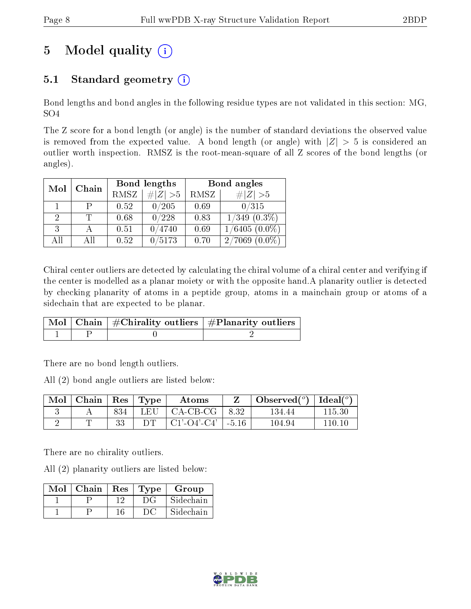# 5 Model quality  $(i)$

### 5.1 Standard geometry  $(i)$

Bond lengths and bond angles in the following residue types are not validated in this section: MG, SO4

The Z score for a bond length (or angle) is the number of standard deviations the observed value is removed from the expected value. A bond length (or angle) with  $|Z| > 5$  is considered an outlier worth inspection. RMSZ is the root-mean-square of all Z scores of the bond lengths (or angles).

| Mol           | Chain | Bond lengths |             | Bond angles |                              |
|---------------|-------|--------------|-------------|-------------|------------------------------|
|               |       | <b>RMSZ</b>  | $\# Z  > 5$ | RMSZ        | # $ Z >5$                    |
|               | P     | 0.52         | 0/205       | 0.69        | 0/315                        |
| $\mathcal{D}$ |       | 0.68         | 0/228       | 0.83        | $1/349$ $(0.3\%)$            |
| 3             |       | 0.51         | 0/4740      | 0.69        | $1/6405(0.0\%)$              |
| AĦ            | AΠ    | 0.52         | /5173       | 0.70        | $^{\prime}7069$<br>$(0.0\%)$ |

Chiral center outliers are detected by calculating the chiral volume of a chiral center and verifying if the center is modelled as a planar moiety or with the opposite hand.A planarity outlier is detected by checking planarity of atoms in a peptide group, atoms in a mainchain group or atoms of a sidechain that are expected to be planar.

|  | $\begin{array}{ c c c }\hline \text{Mol} & \text{Chain} & \#\text{Chirality outliers} & \#\text{Planarity outliers} \end{array}$ |
|--|----------------------------------------------------------------------------------------------------------------------------------|
|  |                                                                                                                                  |

There are no bond length outliers.

All (2) bond angle outliers are listed below:

| Mol | Chain   $\text{Res}$   $\text{Type}$ |     |     | Atoms          |         | Observed( $^{\circ}$ )   Ideal( $^{\circ}$ ) |         |
|-----|--------------------------------------|-----|-----|----------------|---------|----------------------------------------------|---------|
|     |                                      | 834 | LEU | CA-CB-CG       | -8.32   | 134.44                                       | 115.30  |
|     |                                      |     |     | $CI'$ -O4'-C4' | $-5.16$ | 104.94                                       | 110-10- |

There are no chirality outliers.

All (2) planarity outliers are listed below:

| Mol | $\mid$ Chain | $\perp$ Res | Type  | Group     |
|-----|--------------|-------------|-------|-----------|
|     |              | 1 ດ         | $D$ G | Sidechain |
|     |              |             | ĐC    | Sidechain |

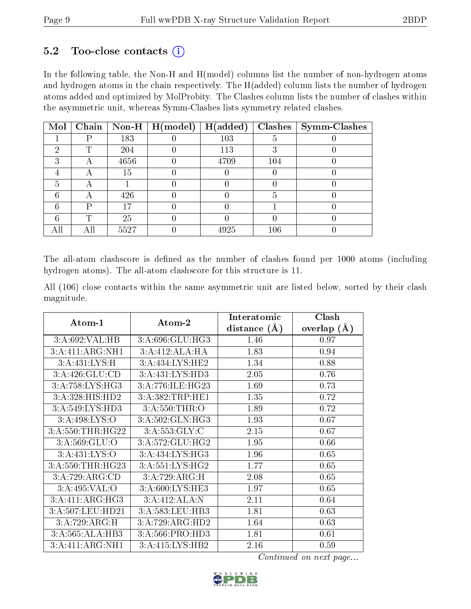#### $5.2$  Too-close contacts  $(i)$

In the following table, the Non-H and H(model) columns list the number of non-hydrogen atoms and hydrogen atoms in the chain respectively. The H(added) column lists the number of hydrogen atoms added and optimized by MolProbity. The Clashes column lists the number of clashes within the asymmetric unit, whereas Symm-Clashes lists symmetry related clashes.

| Mol |   |      | Chain   Non-H   $H (model)$ | H(added) |     | $Clashes$   Symm-Clashes |
|-----|---|------|-----------------------------|----------|-----|--------------------------|
|     |   | 183  |                             | 103      |     |                          |
| 6)  | ௱ | 204  |                             | 113      |     |                          |
| 3   |   | 4656 |                             | 4709     | 104 |                          |
|     |   | 15   |                             |          |     |                          |
| h.  |   |      |                             |          |     |                          |
|     |   | 426  |                             |          |     |                          |
|     | D |      |                             |          |     |                          |
|     | ௱ | 25   |                             |          |     |                          |
|     |   | 5527 |                             | 4925     | 106 |                          |

The all-atom clashscore is defined as the number of clashes found per 1000 atoms (including hydrogen atoms). The all-atom clashscore for this structure is 11.

All (106) close contacts within the same asymmetric unit are listed below, sorted by their clash magnitude.

|                             |                            | Interatomic    | Clash          |
|-----------------------------|----------------------------|----------------|----------------|
| Atom-1                      | Atom-2                     | distance $(A)$ | (A)<br>overlap |
| 3:A:692:VAL:HB              | 3:A:696:GLU:HG3            | 1.46           | 0.97           |
| 3:A:411:ARG:NH1             | 3:A:412:ALA:HA             | 1.83           | 0.94           |
| 3:A:431:LYS:H               | 3:A:434:LYS:HE2            | 1.34           | 0.88           |
| 3:A:426:GLU:CD              | 3:A:431:LYS:HD3            | 2.05           | 0.76           |
| 3: A: 758: LYS: HG3         | 3:A:776:ILE:HG23           | 1.69           | 0.73           |
| 3:A:328:HIS:HD2             | 3:A:382:TRP:HE1            | 1.35           | 0.72           |
| 3:A:549:LYS:H <sub>D3</sub> | 3:A:550:THR:O              | 1.89           | 0.72           |
| 3:A:498:LYS:O               | 3:A:502:GLN:HG3            | 1.93           | 0.67           |
| 3:A:550:THR:HG22            | $3:A:553:GLY:\overline{C}$ | 2.15           | 0.67           |
| 3: A:569: GLU:O             | 3:A:572:GLU:HG2            | 1.95           | 0.66           |
| 3:A:431:LYS:O               | 3:A:434:LYS:HG3            | 1.96           | 0.65           |
| 3:A:550:THR:HG23            | 3:A:551:LYS:HG2            | 1.77           | 0.65           |
| 3:A:729:ARG:CD              | 3:A:729:ARG:H              | 2.08           | 0.65           |
| 3:A:495:VAL:O               | 3:A:600:LYS:HE3            | 1.97           | 0.65           |
| 3:A:411:ARG:HG3             | 3:A:412:ALA:N              | 2.11           | 0.64           |
| 3:A:507:LEU:HD21            | 3:A:583:LEU:HB3            | 1.81           | 0.63           |
| 3:A:729:ARG:H               | 3:A:729:ARG:HD2            | 1.64           | 0.63           |
| 3:A:565:ALA:HB3             | 3:A:566:PRO:HD3            | 1.81           | 0.61           |
| 3:A:411:ARG:NH1             | 3:A:415:LYS:HB2            | 2.16           | 0.59           |

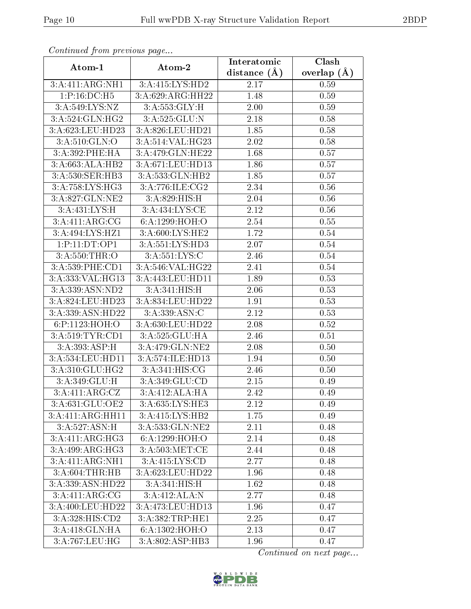| Continuea from previous page |                  | Interatomic    | Clash         |
|------------------------------|------------------|----------------|---------------|
| Atom-1                       | Atom-2           | distance $(A)$ | overlap $(A)$ |
| 3:A:411:ARG:NH1              | 3:A:415:LYS:HD2  | 2.17           | 0.59          |
| 1:P:16:DC:H5                 | 3:A:629:ARG:HH22 | 1.48           | 0.59          |
| 3:A:549:LYS:NZ               | 3:A:553:GLY:H    | 2.00           | 0.59          |
| 3:A:524:GLN:HG2              | 3:A:525:GLU:N    | 2.18           | 0.58          |
| 3:A:623:LEU:HD23             | 3:A:826:LEU:HD21 | 1.85           | 0.58          |
| 3:A:510:GLN:O                | 3:A:514:VAL:HG23 | 2.02           | 0.58          |
| 3:A:392:PHE:HA               | 3:A:479:GLN:HE22 | 1.68           | 0.57          |
| 3:A:663:ALA:HB2              | 3:A:671:LEU:HD13 | 1.86           | 0.57          |
| 3:A:530:SER:HB3              | 3:A:533:GLN:HB2  | 1.85           | 0.57          |
| 3:A:758:LYS:HG3              | 3:A:776:ILE:CG2  | 2.34           | 0.56          |
| 3:A:827:GLN:NE2              | 3:A:829:HIS:H    | 2.04           | 0.56          |
| 3:A:431:LYS:H                | 3:A:434:LYS:CE   | 2.12           | 0.56          |
| 3:A:411:ARG:CG               | 6:A:1299:HOH:O   | 2.54           | 0.55          |
| 3:A:494:LYS:HZ1              | 3:A:600:LYS:HE2  | 1.72           | 0.54          |
| 1:P:11:DT:OP1                | 3:A:551:LYS:HD3  | 2.07           | 0.54          |
| 3:A:550:THR:O                | 3: A: 551: LYS:C | 2.46           | 0.54          |
| 3:A:539:PHE:CD1              | 3:A:546:VAL:HG22 | 2.41           | $0.54\,$      |
| 3:A:333:VAL:HG13             | 3:A:443:LEU:HD11 | 1.89           | 0.53          |
| 3: A: 339: ASN: ND2          | 3:A:341:HIS:H    | 2.06           | 0.53          |
| 3:A:824:LEU:HD23             | 3:A:834:LEU:HD22 | 1.91           | 0.53          |
| 3:A:339:ASN:HD22             | 3:A:339:ASN:C    | 2.12           | 0.53          |
| 6:P:1123:HOH:O               | 3:A:630:LEU:HD22 | 2.08           | 0.52          |
| 3:A:519:TYR:CD1              | 3:A:525:GLU:HA   | 2.46           | 0.51          |
| 3:A:393:ASP:H                | 3:A:479:GLN:NE2  | 2.08           | 0.50          |
| 3:A:534:LEU:HD11             | 3:A:574:ILE:HD13 | 1.94           | 0.50          |
| 3:A:310:GLU:HG2              | 3:A:341:HIS:CG   | 2.46           | 0.50          |
| 3:A:349:GLU:H                | 3:A:349:GLU:CD   | 2.15           | 0.49          |
| 3:A:411:ARG:CZ               | 3:A:412:ALA:HA   | 2.42           | 0.49          |
| 3:A:631:GLU:OE2              | 3:A:635:LYS:HE3  | 2.12           | 0.49          |
| 3:A:411:ARG:HH11             | 3:A:415:LYS:HB2  | $1.75\,$       | 0.49          |
| 3:A:527:ASN:H                | 3:A:533:GLN:NE2  | 2.11           | 0.48          |
| 3:A:411:ARG:HG3              | 6:A:1299:HOH:O   | 2.14           | 0.48          |
| 3:A:499:ARG:HG3              | 3: A:503:MET:CE  | 2.44           | 0.48          |
| 3:A:411:ARG:NH1              | 3:A:415:LYS:CD   | 2.77           | 0.48          |
| 3:A:604:THR:HB               | 3:A:623:LEU:HD22 | 1.96           | 0.48          |
| 3:A:339:ASN:HD22             | 3:A:341:HIS:H    | 1.62           | 0.48          |
| 3:A:411:ARG:CG               | 3:A:412:ALA:N    | 2.77           | 0.48          |
| 3:A:400:LEU:HD22             | 3:A:473:LEU:HD13 | 1.96           | 0.47          |
| 3:A:328:HIS:CD2              | 3:A:382:TRP:HE1  | 2.25           | 0.47          |
| 3:A:418:GLN:HA               | 6:A:1302:HOH:O   | 2.13           | 0.47          |
| 3:A:767:LEU:HG               | 3:A:802:ASP:HB3  | 1.96           | 0.47          |

Continued from previous page.

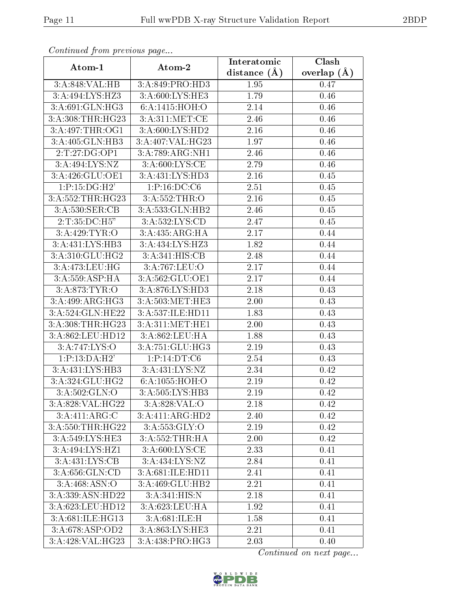| Continuea from previous page |                              | Interatomic    | Clash         |
|------------------------------|------------------------------|----------------|---------------|
| Atom-1                       | Atom-2                       | distance $(A)$ | overlap $(A)$ |
| 3:A:848:VAL:HB               | 3:A:849:PRO:HD3              | 1.95           | 0.47          |
| 3:A:494:LYS:HZ3              | 3: A:600: LYS: HE3           | 1.79           | 0.46          |
| 3:A:691:GLN:HG3              | 6: A: 1415: HOH:O            | 2.14           | 0.46          |
| 3:A:308:THR:HG23             | 3: A:311: MET:CE             | 2.46           | 0.46          |
| 3:A:497:THR:OG1              | 3:A:600:LYS:HD2              | 2.16           | 0.46          |
| 3:A:405:GLN:HB3              | 3:A:407:VAL:HG23             | 1.97           | 0.46          |
| 2:T:27:DG:OP1                | $3:A:789:ARG:\overline{NH1}$ | 2.46           | 0.46          |
| 3:A:494:LYS:NZ               | 3: A:600: LYS: CE            | 2.79           | 0.46          |
| 3:A:426:GLU:OE1              | 3:A:431:LYS:HD3              | 2.16           | 0.45          |
| 1:P:15:DG:H2'                | 1:P:16:DC:CG                 | 2.51           | 0.45          |
| 3:A:552:THR:HG23             | 3:A:552:THR:O                | 2.16           | 0.45          |
| 3:A:530:SER:CB               | 3:A:533:GLN:HB2              | 2.46           | 0.45          |
| 2:T:35:DC:H5"                | 3: A: 532: LYS: CD           | 2.47           | 0.45          |
| 3:A:429:TYR:O                | 3:A:435:ARG:HA               | 2.17           | 0.44          |
| 3:A:431:LYS:HB3              | 3:A:434:LYS:HZ3              | 1.82           | 0.44          |
| 3:A:310:GLU:HG2              | 3:A:341:HIS:CB               | 2.48           | 0.44          |
| 3:A:473:LEU:HG               | 3:A:767:LEU:O                | 2.17           | 0.44          |
| 3:A:559:ASP:HA               | 3:A:562:GLU:OE1              | 2.17           | 0.44          |
| 3:A:873:TYR:O                | 3:A:876:LYS:HD3              | 2.18           | 0.43          |
| 3:A:499:ARG:HG3              | 3:A:503:MET:HE3              | 2.00           | 0.43          |
| 3:A:524:GLN:HE22             | 3:A:537:ILE:HD11             | 1.83           | 0.43          |
| 3:A:308:THR:HG23             | 3:A:311:MET:HE1              | 2.00           | 0.43          |
| 3:A:862:LEU:HD12             | 3:A:862:LEU:HA               | 1.88           | 0.43          |
| 3:A:747:LYS:O                | $3:A:751:GL\overline{U:HG3}$ | 2.19           | 0.43          |
| 1:P:13:DA:H2'                | 1:P:14:DT:C6                 | 2.54           | 0.43          |
| 3:A:431:LYS:HB3              | 3: A: 431: LYS: NZ           | 2.34           | 0.42          |
| $3:A:324:GLU:H\overline{G2}$ | 6:A:1055:HOH:O               | 2.19           | 0.42          |
| 3: A:502: GLN:O              | 3:A:505:LYS:HB3              | 2.19           | 0.42          |
| 3:A:828:VAL:HG22             | 3:A:828:VAL:O                | 2.18           | 0.42          |
| 3:A:411:ARG:C                | $3:A:411:AR\overline{G:HD2}$ | 2.40           | 0.42          |
| 3:A:550:THR:HG22             | 3:A:553:GLY:O                | 2.19           | 0.42          |
| $3:A:549:LYS:\overline{HE3}$ | 3:A:552:THR:HA               | 2.00           | 0.42          |
| $3:A:494:LY\overline{S:HZ1}$ | 3: A:600: LYS:CE             | 2.33           | 0.41          |
| 3:A:431:LYS:CB               | 3:A:434:LYS:NZ               | 2.84           | 0.41          |
| 3:A:656:GLN:CD               | 3:A:681:ILE:HD11             | 2.41           | 0.41          |
| 3: A:468: ASN:O              | 3:A:469:GLU:HB2              | 2.21           | 0.41          |
| 3:A:339:ASN:HD22             | 3:A:341:HIS:N                | 2.18           | 0.41          |
| 3:A:623:LEU:HD12             | 3:A:623:LEU:HA               | 1.92           | 0.41          |
| 3:A:681:ILE:HG13             | 3:A:681:ILE:H                | 1.58           | 0.41          |
| 3:A:678:ASP:OD2              | 3:A:863:LYS:HE3              | 2.21           | 0.41          |
| 3:A:428:VAL:HG23             | 3:A:438:PRO:HG3              | 2.03           | 0.40          |

Continued from previous page.

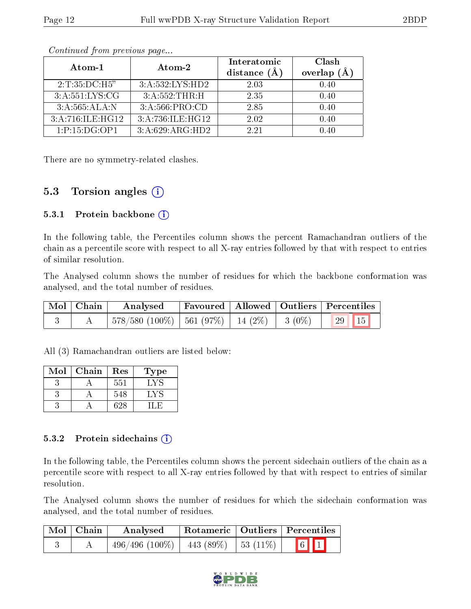| Atom-1            | $\boldsymbol{\mathrm{Atom}\text{-}2}$ | Interatomic<br>distance $(A)$ | Clash<br>overlap $(\AA)$ |
|-------------------|---------------------------------------|-------------------------------|--------------------------|
| 2:T:35:DC:H5"     | 3:A:532:LYS:HD2                       | 2.03                          | 0.40                     |
| 3: A:551: LYS: CG | 3:A:552:THR:H                         | 2.35                          | 0.40                     |
| 3:A:565:ALA:N     | 3:A:566:PRO:CD                        | 2.85                          | 0.40                     |
| 3:A:716:ILE:HG12  | 3:A:736:ILE:HG12                      | 2.02                          | 0.40                     |
| 1:P:15:DG:OP1     | 3:A:629:ARG:HD2                       | 2.21                          | 0.40                     |

Continued from previous page...

There are no symmetry-related clashes.

#### 5.3 Torsion angles  $(i)$

#### 5.3.1 Protein backbone  $(i)$

In the following table, the Percentiles column shows the percent Ramachandran outliers of the chain as a percentile score with respect to all X-ray entries followed by that with respect to entries of similar resolution.

The Analysed column shows the number of residues for which the backbone conformation was analysed, and the total number of residues.

| Mol   Chain | Analysed                                      |  | <b>Favoured</b>   Allowed   Outliers   Percentiles |
|-------------|-----------------------------------------------|--|----------------------------------------------------|
|             | 578/580 (100%)   561 (97%)   14 (2%)   3 (0%) |  | $\left  \frac{29}{15} \right $                     |

All (3) Ramachandran outliers are listed below:

| Mol | Chain | Res | Type |
|-----|-------|-----|------|
|     |       | 551 | LY   |
|     |       | 548 | ⊟.V  |
|     |       |     |      |

#### 5.3.2 Protein sidechains  $(i)$

In the following table, the Percentiles column shows the percent sidechain outliers of the chain as a percentile score with respect to all X-ray entries followed by that with respect to entries of similar resolution.

The Analysed column shows the number of residues for which the sidechain conformation was analysed, and the total number of residues.

| Mol   Chain | Analysed                                     | Rotameric   Outliers   Percentiles |  |               |  |
|-------------|----------------------------------------------|------------------------------------|--|---------------|--|
|             | $496/496 (100\%)$   $443 (89\%)$   53 (11\%) |                                    |  | $\boxed{6}$ 1 |  |

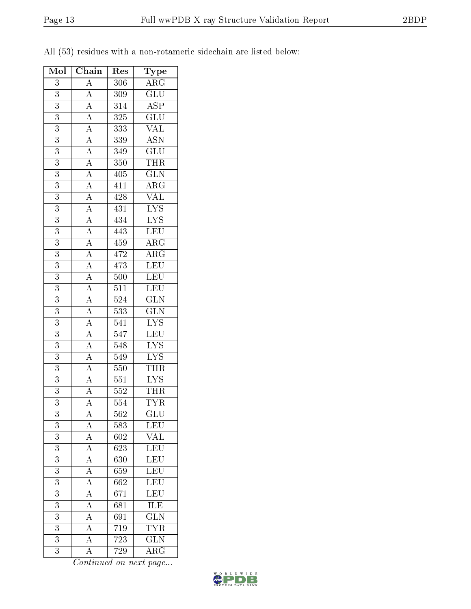| Mol              | Chain                                                                                                                                                                                                                                                                                                       | Res              | Type                                           |  |
|------------------|-------------------------------------------------------------------------------------------------------------------------------------------------------------------------------------------------------------------------------------------------------------------------------------------------------------|------------------|------------------------------------------------|--|
| 3                |                                                                                                                                                                                                                                                                                                             | 306              | $\overline{\text{ARG}}$                        |  |
| $\boldsymbol{3}$ |                                                                                                                                                                                                                                                                                                             | 309              | $\overline{\mathrm{GLU}}$                      |  |
| $\overline{3}$   |                                                                                                                                                                                                                                                                                                             | $\overline{314}$ | $\overline{\text{ASP}}$                        |  |
| 3                | $\frac{A}{A}$<br>$\frac{A}{A}$                                                                                                                                                                                                                                                                              | 325              | $\overline{\text{GLU}}$                        |  |
| $\overline{3}$   |                                                                                                                                                                                                                                                                                                             | 333              | $\overline{\text{VAL}}$                        |  |
| $\overline{3}$   | $\overline{A}$                                                                                                                                                                                                                                                                                              | 339              | $\frac{\overline{\mathrm{ASN}}}{\mathrm{GLU}}$ |  |
| 3                | $\overline{A}$                                                                                                                                                                                                                                                                                              | 349              |                                                |  |
| $\boldsymbol{3}$ |                                                                                                                                                                                                                                                                                                             | 350              | $\overline{\text{THR}}$                        |  |
| 3                |                                                                                                                                                                                                                                                                                                             | 405              | $\overline{\text{GLN}}$                        |  |
| $\overline{3}$   |                                                                                                                                                                                                                                                                                                             | 411              | $\overline{\rm{ARG}}$                          |  |
| 3                |                                                                                                                                                                                                                                                                                                             | 428              | $\overline{\text{VAL}}$                        |  |
| 3                |                                                                                                                                                                                                                                                                                                             | 431              | $\overline{\text{LYS}}$                        |  |
| $\overline{3}$   |                                                                                                                                                                                                                                                                                                             | 434              | $\overline{\text{LYS}}$                        |  |
| $\overline{3}$   | $\frac{\overline{A}}{\overline{A}}\frac{\overline{A}}{\overline{A}}\frac{\overline{A}}{\overline{A}}\frac{\overline{A}}{\overline{A}}\frac{\overline{A}}{\overline{A}}\frac{\overline{A}}{\overline{A}}\frac{\overline{A}}{\overline{A}}\frac{\overline{A}}{\overline{A}}\frac{\overline{A}}{\overline{A}}$ | $4\overline{43}$ | LEU                                            |  |
| $\overline{3}$   |                                                                                                                                                                                                                                                                                                             | $\overline{459}$ | $\overline{\rm{ARG}}$                          |  |
| $\overline{3}$   |                                                                                                                                                                                                                                                                                                             | 472              | $\overline{\rm ARG}$                           |  |
| 3                |                                                                                                                                                                                                                                                                                                             | 473              | LEU                                            |  |
| $\overline{3}$   |                                                                                                                                                                                                                                                                                                             | 500              | LEU                                            |  |
| 3                |                                                                                                                                                                                                                                                                                                             | 511              | <b>LEU</b>                                     |  |
| $\overline{3}$   |                                                                                                                                                                                                                                                                                                             | $5\overline{24}$ | $\overline{\text{GLN}}$                        |  |
| 3                |                                                                                                                                                                                                                                                                                                             | 533              | $\overline{\text{GLN}}$                        |  |
| 3                |                                                                                                                                                                                                                                                                                                             | 541              | $\overline{\text{LYS}}$                        |  |
| 3                |                                                                                                                                                                                                                                                                                                             | 547              | $\overline{\text{LEU}}$                        |  |
| $\overline{3}$   |                                                                                                                                                                                                                                                                                                             | 548              | $\overline{\text{LYS}}$                        |  |
| $\overline{3}$   |                                                                                                                                                                                                                                                                                                             | 549              | $\frac{\text{LYS}}{\text{THR}}$                |  |
| 3                |                                                                                                                                                                                                                                                                                                             | 550              |                                                |  |
| 3                | $\overline{A}$                                                                                                                                                                                                                                                                                              | 551              | $\overline{\text{LYS}}$                        |  |
| $\overline{3}$   | $\overline{A}$                                                                                                                                                                                                                                                                                              | 552              | <b>THR</b>                                     |  |
| $\overline{3}$   | $\overline{A}$                                                                                                                                                                                                                                                                                              | 554              | $\overline{\text{TYR}}$                        |  |
| 3                | А                                                                                                                                                                                                                                                                                                           | 562              | GLU                                            |  |
| 3                | $\boldsymbol{A}$                                                                                                                                                                                                                                                                                            | 583              | <b>LEU</b>                                     |  |
| 3                | $\overline{A}$                                                                                                                                                                                                                                                                                              | 602              | $\overline{\text{VAL}}$                        |  |
| 3                | $\overline{\rm A}$                                                                                                                                                                                                                                                                                          | 623              | LEU                                            |  |
| 3                | $\overline{A}$                                                                                                                                                                                                                                                                                              | 630              | LEU                                            |  |
| $\overline{3}$   | $\overline{A}$                                                                                                                                                                                                                                                                                              | 659              | <b>LEU</b>                                     |  |
| 3                | $\overline{A}$                                                                                                                                                                                                                                                                                              | 662              | LEU                                            |  |
| $\overline{3}$   | $\overline{A}$                                                                                                                                                                                                                                                                                              | 671              | LEU                                            |  |
| 3                | $\overline{A}$                                                                                                                                                                                                                                                                                              | 681              | ILE                                            |  |
| $\overline{3}$   | $\overline{A}$                                                                                                                                                                                                                                                                                              | 691              | $\overline{\text{GLN}}$                        |  |
| 3                | $\overline{\rm A}$                                                                                                                                                                                                                                                                                          | 719              | $\overline{\text{TYR}}$                        |  |
| 3                | $\overline{\rm A}$                                                                                                                                                                                                                                                                                          | 723              | $\overline{\text{GLN}}$                        |  |
| 3                | $\overline{A}$                                                                                                                                                                                                                                                                                              | 729              | ${\rm ARG}$                                    |  |

All (53) residues with a non-rotameric sidechain are listed below:

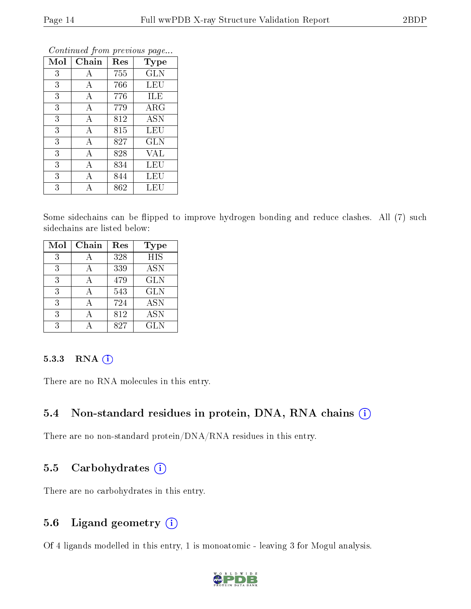| Mol | Chain | Res | <b>Type</b> |
|-----|-------|-----|-------------|
| 3   | А     | 755 | <b>GLN</b>  |
| 3   | А     | 766 | LEU         |
| 3   | А     | 776 | ILE         |
| 3   | А     | 779 | $\rm{ARG}$  |
| 3   | А     | 812 | <b>ASN</b>  |
| 3   | А     | 815 | LEU         |
| 3   | А     | 827 | <b>GLN</b>  |
| 3   | А     | 828 | VAL         |
| 3   | А     | 834 | LEU         |
| 3   | А     | 844 | <b>LEU</b>  |
| 3   | А     | 862 | LEU         |

Continued from previous page...

Some sidechains can be flipped to improve hydrogen bonding and reduce clashes. All (7) such sidechains are listed below:

| Mol | Chain | Res | <b>Type</b>      |
|-----|-------|-----|------------------|
| 3   |       | 328 | $\overline{HIS}$ |
| 3   |       | 339 | <b>ASN</b>       |
| 3   |       | 479 | <b>GLN</b>       |
| 3   |       | 543 | <b>GLN</b>       |
| 3   |       | 724 | <b>ASN</b>       |
| 3   |       | 812 | <b>ASN</b>       |
| 3   |       | 827 | GLN              |

#### 5.3.3 RNA (i)

There are no RNA molecules in this entry.

### 5.4 Non-standard residues in protein, DNA, RNA chains (i)

There are no non-standard protein/DNA/RNA residues in this entry.

#### 5.5 Carbohydrates  $(i)$

There are no carbohydrates in this entry.

### 5.6 Ligand geometry  $(i)$

Of 4 ligands modelled in this entry, 1 is monoatomic - leaving 3 for Mogul analysis.

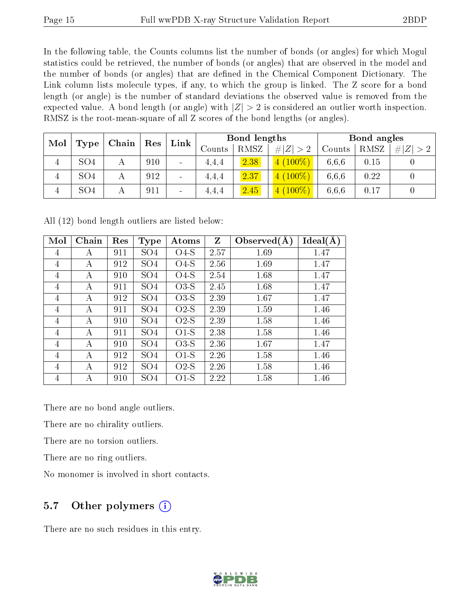In the following table, the Counts columns list the number of bonds (or angles) for which Mogul statistics could be retrieved, the number of bonds (or angles) that are observed in the model and the number of bonds (or angles) that are dened in the Chemical Component Dictionary. The Link column lists molecule types, if any, to which the group is linked. The Z score for a bond length (or angle) is the number of standard deviations the observed value is removed from the expected value. A bond length (or angle) with  $|Z| > 2$  is considered an outlier worth inspection. RMSZ is the root-mean-square of all Z scores of the bond lengths (or angles).

| Mol            |                 | $\mid$ Chain $\mid$ |             | $\mathop{\rm Link}\nolimits$ | Bond lengths |             |             | Bond angles |      |           |
|----------------|-----------------|---------------------|-------------|------------------------------|--------------|-------------|-------------|-------------|------|-----------|
|                | Type            |                     | $\vert$ Res |                              | Counts       | <b>RMSZ</b> | # $ Z  > 2$ | Counts      | RMSZ | E  <br>>2 |
| $\overline{4}$ | SO <sub>4</sub> |                     | 910         | $\qquad \qquad$              | 4.4.4        | 2.38        | $4(100\%)$  | 6.6.6       | 0.15 |           |
| $\overline{4}$ | SO <sub>4</sub> |                     | 912         | -                            | 4,4,4        | 2.37        | $(100\%)$   | 6.6.6       | 0.22 |           |
| 4              | SO <sub>4</sub> |                     | 911         | -                            | 4.4.4        | 2.45        | $4(100\%)$  | 6,6,6       | 0.17 |           |

All (12) bond length outliers are listed below:

| $\operatorname{Mol}$ | Chain | Res | <b>Type</b>     | Atoms  | $\mathbf{Z}$ | Observed(A) | Ideal(A) |
|----------------------|-------|-----|-----------------|--------|--------------|-------------|----------|
| 4                    | А     | 911 | SO <sub>4</sub> | $O4-S$ | 2.57         | 1.69        | 1.47     |
| 4                    | А     | 912 | SO <sub>4</sub> | $O4-S$ | 2.56         | 1.69        | 1.47     |
| 4                    | А     | 910 | SO <sub>4</sub> | $O4-S$ | 2.54         | 1.68        | 1.47     |
| 4                    | A     | 911 | SO <sub>4</sub> | $O3-S$ | 2.45         | 1.68        | 1.47     |
| 4                    | А     | 912 | SO <sub>4</sub> | $O3-S$ | 2.39         | 1.67        | 1.47     |
| 4                    | А     | 911 | SO <sub>4</sub> | $O2-S$ | 2.39         | 1.59        | 1.46     |
| 4                    | А     | 910 | SO <sub>4</sub> | $O2-S$ | 2.39         | 1.58        | 1.46     |
| $\overline{4}$       | А     | 911 | SO <sub>4</sub> | $O1-S$ | 2.38         | 1.58        | 1.46     |
| 4                    | А     | 910 | SO <sub>4</sub> | $O3-S$ | 2.36         | 1.67        | 1.47     |
| 4                    | А     | 912 | SO <sub>4</sub> | $O1-S$ | 2.26         | 1.58        | 1.46     |
| 4                    | А     | 912 | SO <sub>4</sub> | $O2-S$ | 2.26         | 1.58        | 1.46     |
| 4                    | А     | 910 | SO <sub>4</sub> | $O1-S$ | 2.22         | 1.58        | 1.46     |

There are no bond angle outliers.

There are no chirality outliers.

There are no torsion outliers.

There are no ring outliers.

No monomer is involved in short contacts.

### 5.7 [O](https://www.wwpdb.org/validation/2017/XrayValidationReportHelp#nonstandard_residues_and_ligands)ther polymers  $(i)$

There are no such residues in this entry.

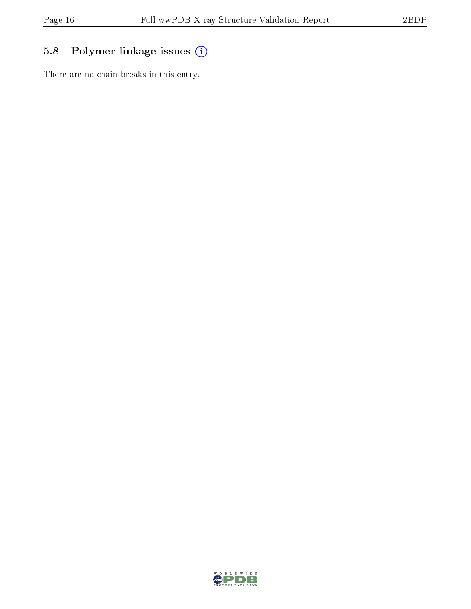## 5.8 Polymer linkage issues (i)

There are no chain breaks in this entry.

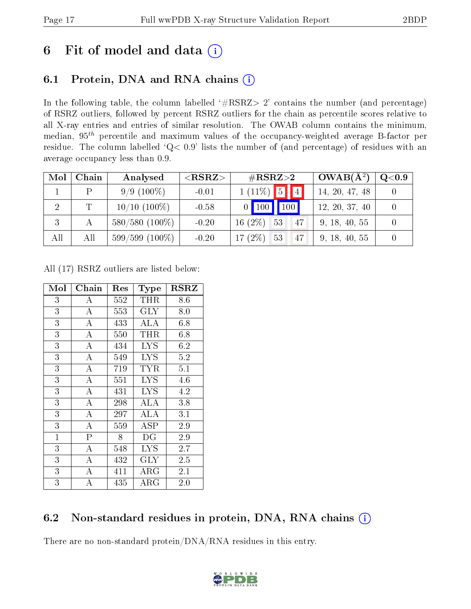# 6 Fit of model and data  $(i)$

### 6.1 Protein, DNA and RNA chains  $(i)$

In the following table, the column labelled  $#RSRZ> 2'$  contains the number (and percentage) of RSRZ outliers, followed by percent RSRZ outliers for the chain as percentile scores relative to all X-ray entries and entries of similar resolution. The OWAB column contains the minimum, median,  $95<sup>th</sup>$  percentile and maximum values of the occupancy-weighted average B-factor per residue. The column labelled ' $Q< 0.9$ ' lists the number of (and percentage) of residues with an average occupancy less than 0.9.

| Mol | Chain       | Analysed          | ${ <\hspace{-1.5pt}{\mathrm{RSRZ}} \hspace{-1.5pt}>}$ | $\#\text{RSRZ}{>}2$                        | $OWAB(A^2)$    | Q <sub>0.9</sub> |
|-----|-------------|-------------------|-------------------------------------------------------|--------------------------------------------|----------------|------------------|
|     |             | $9/9(100\%)$      | $-0.01$                                               | $1(11\%)$ 5 4                              | 14, 20, 47, 48 |                  |
|     | $\mathbf T$ | $10/10$ $(100\%)$ | $-0.58$                                               | $\mid 100 \mid$<br>$\vert$ 100<br>$\Omega$ | 12, 20, 37, 40 |                  |
| 3   |             | $580/580(100\%)$  | $-0.20$                                               | $16(2\%)$ 53<br>47                         | 9, 18, 40, 55  |                  |
| All | All         | $599/599(100\%)$  | $-0.20$                                               | 17 $(2\%)$ 53<br>47                        | 9, 18, 40, 55  |                  |

All (17) RSRZ outliers are listed below:

| Mol            | Chain                   | Res | Type                 | <b>RSRZ</b> |
|----------------|-------------------------|-----|----------------------|-------------|
| 3              | А                       | 552 | THR                  | 8.6         |
| $\overline{3}$ | $\overline{A}$          | 553 | $\rm GLY$            | 8.0         |
| $\overline{3}$ | $\bf{A}$                | 433 | ALA                  | 6.8         |
| $\overline{3}$ | $\overline{\rm A}$      | 550 | THR                  | 6.8         |
| 3              | $\boldsymbol{A}$        | 434 | <b>LYS</b>           | 6.2         |
| $\overline{3}$ | $\overline{\rm A}$      | 549 | <b>LYS</b>           | 5.2         |
| $\overline{3}$ | $\overline{A}$          | 719 | TYR                  | 5.1         |
| 3              | $\bf{A}$                | 551 | $_{\mathrm{LYS}}$    | 4.6         |
| $\overline{3}$ | A                       | 431 | <b>LYS</b>           | 4.2         |
| $\overline{3}$ | $\bf{A}$                | 298 | <b>ALA</b>           | 3.8         |
| $\overline{3}$ | $\overline{\rm A}$      | 297 | ALA                  | 3.1         |
| 3              | $\bf{A}$                | 559 | $\operatorname{ASP}$ | 2.9         |
| $\mathbf{1}$   | $\overline{\mathrm{P}}$ | 8   | DG                   | 2.9         |
| $\overline{3}$ | $\overline{A}$          | 548 | <b>LYS</b>           | 2.7         |
| $\overline{3}$ | $\overline{\rm A}$      | 432 | $\rm GLY$            | 2.5         |
| $\overline{3}$ | $\overline{\rm A}$      | 411 | ${\rm ARG}$          | 2.1         |
| 3              | А                       | 435 | ${\rm ARG}$          | 2.0         |

### 6.2 Non-standard residues in protein, DNA, RNA chains (i)

There are no non-standard protein/DNA/RNA residues in this entry.